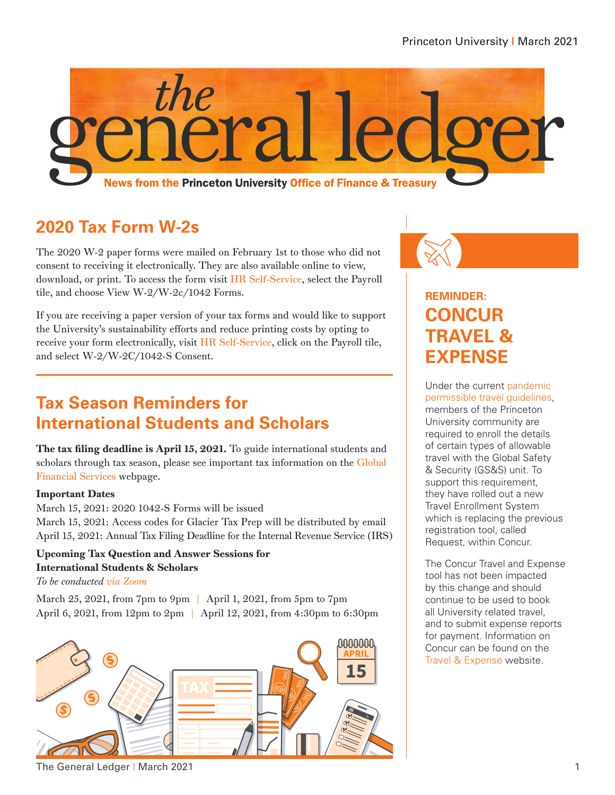

## **2020 Tax Form W-2s**

The 2020 W-2 paper forms were mailed on February 1st to those who did not consent to receiving it electronically. They are also available online to view, download, or print. To access the form visit [HR Self-Service,](https://fed.princeton.edu/cas/login;jsessionid=657EB9EFAB81420BDF4EF4EFFDAC2756?locale=en&service=https%3A%2F%2Fidp.princeton.edu%2Fidp%2FAuthn%2FExternal%3Fconversation%3De1s1&entityId=https%3A%2F%2Fiamprox201l.princeton.edu%2Fshibboleth) select the Payroll tile, and choose View W-2/W-2c/1042 Forms.

If you are receiving a paper version of your tax forms and would like to support the University's sustainability efforts and reduce printing costs by opting to receive your form electronically, visit [HR Self-Service,](https://fed.princeton.edu/cas/login?locale=en&service=https%3A%2F%2Fidp.princeton.edu%2Fidp%2FAuthn%2FExternal%3Fconversation%3De2s1&entityId=https%3A%2F%2Fiamprox201l.princeton.edu%2Fshibboleth) click on the Payroll tile, and select W-2/W-2C/1042-S Consent.

## **Tax Season Reminders for International Students and Scholars**

The tax filing deadline is April 15, 2021. To guide international students and scholars through tax season, please see important tax information on the [Global](https://finance.princeton.edu/special-information/international/global-financial-services/taxes-foreign-students-faculty-staff)  [Financial Services](https://finance.princeton.edu/special-information/international/global-financial-services/taxes-foreign-students-faculty-staff) webpage.

#### Important Dates

March 15, 2021: 2020 1042-S Forms will be issued March 15, 2021: Access codes for Glacier Tax Prep will be distributed by email April 15, 2021: Annual Tax Filing Deadline for the Internal Revenue Service (IRS)

#### Upcoming Tax Question and Answer Sessions for International Students & Scholars

*To be conducted [via Zoom](https://fed.princeton.edu/cas/login?locale=en&service=https%3A//finance.princeton.edu/casservice%3Freturnto%3D/system/files/2021-02/Zoom%252520Link%252520for%252520Int%252527l%252520QandA%252520Tax%252520Sessions.pdf)*

March 25, 2021, from 7pm to 9pm | April 1, 2021, from 5pm to 7pm April 6, 2021, from 12pm to 2pm | April 12, 2021, from 4:30pm to 6:30pm



#### **REMINDER: CONCUR TRAVEL & EXPENSE**

Under the current [pandemic](https://international.princeton.edu/travel-toolkit)  [permissible travel guidelines,](https://international.princeton.edu/travel-toolkit) members of the Princeton University community are required to enroll the details of certain types of allowable travel with the Global Safety & Security (GS&S) unit. To support this requirement, they have rolled out a new Travel Enrollment System which is replacing the previous registration tool, called Request, within Concur.

The Concur Travel and Expense tool has not been impacted by this change and should continue to be used to book all University related travel, and to submit expense reports for payment. Information on Concur can be found on the [Travel & Expense](https://travel.princeton.edu/) website.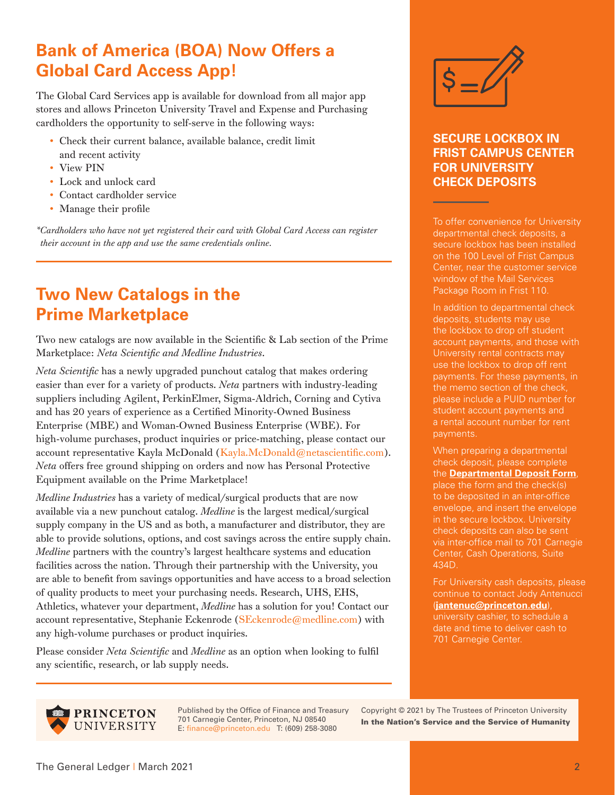# **Bank of America (BOA) Now Offers a Global Card Access App!**

The Global Card Services app is available for download from all major app stores and allows Princeton University Travel and Expense and Purchasing cardholders the opportunity to self-serve in the following ways:

- Check their current balance, available balance, credit limit and recent activity
- View PIN
- Lock and unlock card
- Contact cardholder service
- Manage their profile

*\*Cardholders who have not yet registered their card with Global Card Access can register their account in the app and use the same credentials online.*

## **Two New Catalogs in the Prime Marketplace**

Two new catalogs are now available in the Scientific & Lab section of the Prime Marketplace: *Neta Scientific and Medline Industries*.

*Neta Scientific* has a newly upgraded punchout catalog that makes ordering easier than ever for a variety of products. *Neta* partners with industry-leading suppliers including Agilent, PerkinElmer, Sigma-Aldrich, Corning and Cytiva and has 20 years of experience as a Certified Minority-Owned Business Enterprise (MBE) and Woman-Owned Business Enterprise (WBE). For high-volume purchases, product inquiries or price-matching, please contact our account representative Kayla McDonald (Kayla.McDonald@netascientific.com). *Neta* offers free ground shipping on orders and now has Personal Protective Equipment available on the Prime Marketplace!

*Medline Industries* has a variety of medical/surgical products that are now available via a new punchout catalog. *Medline* is the largest medical/surgical supply company in the US and as both, a manufacturer and distributor, they are able to provide solutions, options, and cost savings across the entire supply chain. *Medline* partners with the country's largest healthcare systems and education facilities across the nation. Through their partnership with the University, you are able to benefit from savings opportunities and have access to a broad selection of quality products to meet your purchasing needs. Research, UHS, EHS, Athletics, whatever your department, *Medline* has a solution for you! Contact our account representative, Stephanie Eckenrode (SEckenrode@medline.com) with any high-volume purchases or product inquiries.

Please consider *Neta Scientific* and *Medline* as an option when looking to fulfil any scientific, research, or lab supply needs.



#### **SECURE LOCKBOX IN FRIST CAMPUS CENTER FOR UNIVERSITY CHECK DEPOSITS**

To offer convenience for University departmental check deposits, a secure lockbox has been installed on the 100 Level of Frist Campus Center, near the customer service window of the Mail Services Package Room in Frist 110.

In addition to departmental check deposits, students may use the lockbox to drop off student account payments, and those with University rental contracts may use the lockbox to drop off rent payments. For these payments, in please include a PUID number for student account payments and a rental account number for rent payments.

When preparing a departmental check deposit, please complete the **[Departmental Deposit Form](https://finance.princeton.edu/forms/departmental-deposit)**, place the form and the check(s) to be deposited in an inter-office envelope, and insert the envelope in the secure lockbox. University check deposits can also be sent via inter-office mail to 701 Carnegie Center, Cash Operations, Suite 434D.

For University cash deposits, please continue to contact Jody Antenucci (**jantenuc@princeton.edu**), university cashier, to schedule a

**PRINCETON** UNIVERSITY

Published by the Office of Finance and Treasury 701 Carnegie Center, Princeton, NJ 08540 E: finance@princeton.edu T: (609) 258-3080

Copyright © 2021 by The Trustees of Princeton University In the Nation's Service and the Service of Humanity

701 Carnegie Center.